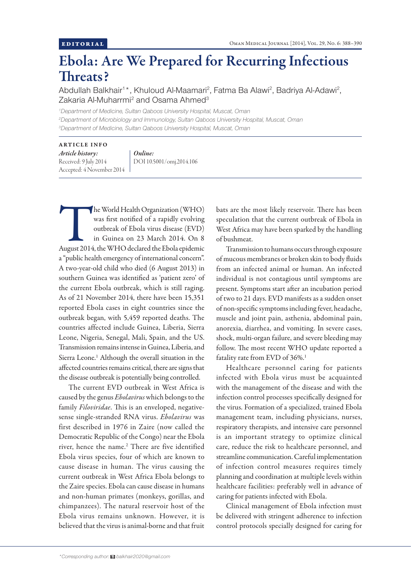## Ebola: Are We Prepared for Recurring Infectious Threats?

Abdullah Balkhair<sup>1\*</sup>, Khuloud Al-Maamari<sup>2</sup>, Fatma Ba Alawi<sup>2</sup>, Badriya Al-Adawi<sup>2</sup>, Zakaria Al-Muharrmi<sup>2</sup> and Osama Ahmed<sup>3</sup>

*1 Department of Medicine, Sultan Qaboos University Hospital, Muscat, Oman 2 Department of Microbiology and Immunology, Sultan Qaboos University Hospital, Muscat, Oman 3 Department of Medicine, Sultan Qaboos University Hospital, Muscat, Oman*

## ARTICLE INFO

*Article history:*  Received: 9 July 2014 Accepted: 4 November 2014 *Online:* DOI 10.5001/omj.2014.106

The World Health Organization (WHO)<br>
was first notified of a rapidly evolving<br>
outbreak of Ebola virus disease (EVD)<br>
in Guinea on 23 March 2014. On 8<br>
August 2014, the WHO declared the Ebola epidemic was first notified of a rapidly evolving outbreak of Ebola virus disease (EVD) in Guinea on 23 March 2014. On 8 a "public health emergency of international concern". A two-year-old child who died (6 August 2013) in southern Guinea was identified as 'patient zero' of the current Ebola outbreak, which is still raging. As of 21 November 2014, there have been 15,351 reported Ebola cases in eight countries since the outbreak began, with 5,459 reported deaths. The countries affected include Guinea, Liberia, Sierra Leone, Nigeria, Senegal, Mali, Spain, and the US. Transmission remains intense in Guinea, Liberia, and Sierra Leone.<sup>1</sup> Although the overall situation in the affected countries remains critical, there are signs that the disease outbreak is potentially being controlled.

The current EVD outbreak in West Africa is caused by the genus *Ebolavirus* which belongs to the family *Filoviridae*. This is an enveloped, negativesense single-stranded RNA virus. *Ebolavirus* was first described in 1976 in Zaire (now called the Democratic Republic of the Congo) near the Ebola river, hence the name.<sup>2</sup> There are five identified Ebola virus species, four of which are known to cause disease in human. The virus causing the current outbreak in West Africa Ebola belongs to the Zaire species. Ebola can cause disease in humans and non-human primates (monkeys, gorillas, and chimpanzees). The natural reservoir host of the Ebola virus remains unknown. However, it is believed that the virus is animal-borne and that fruit bats are the most likely reservoir. There has been speculation that the current outbreak of Ebola in West Africa may have been sparked by the handling of bushmeat.

Transmission to humans occurs through exposure of mucous membranes or broken skin to body fluids from an infected animal or human. An infected individual is not contagious until symptoms are present. Symptoms start after an incubation period of two to 21 days. EVD manifests as a sudden onset of non-specific symptoms including fever, headache, muscle and joint pain, asthenia, abdominal pain, anorexia, diarrhea, and vomiting. In severe cases, shock, multi-organ failure, and severe bleeding may follow. The most recent WHO update reported a fatality rate from EVD of 36%.<sup>1</sup>

Healthcare personnel caring for patients infected with Ebola virus must be acquainted with the management of the disease and with the infection control processes specifically designed for the virus. Formation of a specialized, trained Ebola management team, including physicians, nurses, respiratory therapists, and intensive care personnel is an important strategy to optimize clinical care, reduce the risk to healthcare personnel, and streamline communication. Careful implementation of infection control measures requires timely planning and coordination at multiple levels within healthcare facilities: preferably well in advance of caring for patients infected with Ebola.

Clinical management of Ebola infection must be delivered with stringent adherence to infection control protocols specially designed for caring for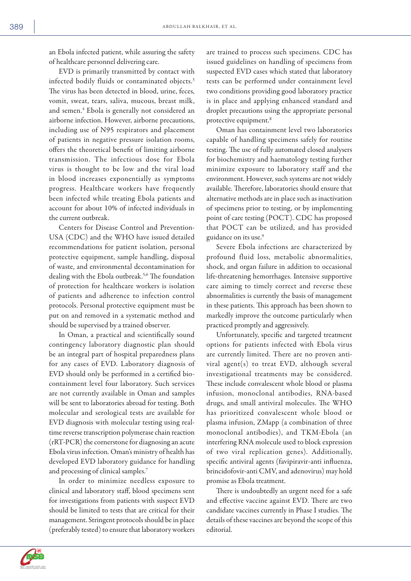an Ebola infected patient, while assuring the safety of healthcare personnel delivering care.

EVD is primarily transmitted by contact with infected bodily fluids or contaminated objects.<sup>3</sup> The virus has been detected in blood, urine, feces, vomit, sweat, tears, saliva, mucous, breast milk, and semen.4 Ebola is generally not considered an airborne infection. However, airborne precautions, including use of N95 respirators and placement of patients in negative pressure isolation rooms, offers the theoretical benefit of limiting airborne transmission. The infectious dose for Ebola virus is thought to be low and the viral load in blood increases exponentially as symptoms progress. Healthcare workers have frequently been infected while treating Ebola patients and account for about 10% of infected individuals in the current outbreak.

Centers for Disease Control and Prevention-USA (CDC) and the WHO have issued detailed recommendations for patient isolation, personal protective equipment, sample handling, disposal of waste, and environmental decontamination for dealing with the Ebola outbreak.<sup>5,6</sup> The foundation of protection for healthcare workers is isolation of patients and adherence to infection control protocols. Personal protective equipment must be put on and removed in a systematic method and should be supervised by a trained observer.

In Oman, a practical and scientifically sound contingency laboratory diagnostic plan should be an integral part of hospital preparedness plans for any cases of EVD. Laboratory diagnosis of EVD should only be performed in a certified biocontainment level four laboratory. Such services are not currently available in Oman and samples will be sent to laboratories abroad for testing. Both molecular and serological tests are available for EVD diagnosis with molecular testing using realtime reverse transcription polymerase chain reaction (rRT-PCR) the cornerstone for diagnosing an acute Ebola virus infection. Oman's ministry of health has developed EVD laboratory guidance for handling and processing of clinical samples.7

In order to minimize needless exposure to clinical and laboratory staff, blood specimens sent for investigations from patients with suspect EVD should be limited to tests that are critical for their management. Stringent protocols should be in place (preferably tested) to ensure that laboratory workers are trained to process such specimens. CDC has issued guidelines on handling of specimens from suspected EVD cases which stated that laboratory tests can be performed under containment level two conditions providing good laboratory practice is in place and applying enhanced standard and droplet precautions using the appropriate personal protective equipment.8

Oman has containment level two laboratories capable of handling specimens safely for routine testing. The use of fully automated closed analysers for biochemistry and haematology testing further minimize exposure to laboratory staff and the environment. However, such systems are not widely available. Therefore, laboratories should ensure that alternative methods are in place such as inactivation of specimens prior to testing, or by implementing point of care testing (POCT). CDC has proposed that POCT can be utilized, and has provided guidance on its use.<sup>9</sup>

Severe Ebola infections are characterized by profound fluid loss, metabolic abnormalities, shock, and organ failure in addition to occasional life-threatening hemorrhages. Intensive supportive care aiming to timely correct and reverse these abnormalities is currently the basis of management in these patients. This approach has been shown to markedly improve the outcome particularly when practiced promptly and aggressively.

Unfortunately, specific and targeted treatment options for patients infected with Ebola virus are currently limited. There are no proven antiviral agent(s) to treat EVD, although several investigational treatments may be considered. These include convalescent whole blood or plasma infusion, monoclonal antibodies, RNA-based drugs, and small antiviral molecules. The WHO has prioritized convalescent whole blood or plasma infusion, ZMapp (a combination of three monoclonal antibodies), and TKM-Ebola (an interfering RNA molecule used to block expression of two viral replication genes). Additionally, specific antiviral agents (favipiravir-anti influenza, brincidofovir-anti CMV, and adenovirus) may hold promise as Ebola treatment.

There is undoubtedly an urgent need for a safe and effective vaccine against EVD. There are two candidate vaccines currently in Phase I studies. The details of these vaccines are beyond the scope of this editorial.